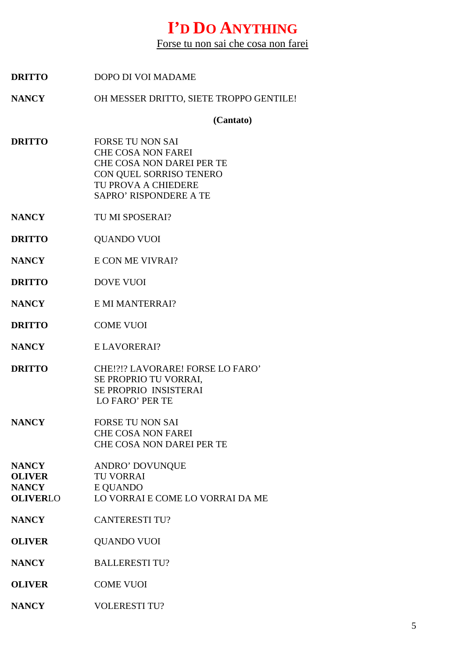## **I'D DO ANYTHING**

Forse tu non sai che cosa non farei

| <b>DRITTO</b>                                                    | DOPO DI VOI MADAME                                                                                                                                                   |
|------------------------------------------------------------------|----------------------------------------------------------------------------------------------------------------------------------------------------------------------|
| <b>NANCY</b>                                                     | OH MESSER DRITTO, SIETE TROPPO GENTILE!                                                                                                                              |
|                                                                  | (Cantato)                                                                                                                                                            |
| <b>DRITTO</b>                                                    | <b>FORSE TU NON SAI</b><br><b>CHE COSA NON FAREI</b><br>CHE COSA NON DAREI PER TE<br>CON QUEL SORRISO TENERO<br>TU PROVA A CHIEDERE<br><b>SAPRO' RISPONDERE A TE</b> |
| <b>NANCY</b>                                                     | TU MI SPOSERAI?                                                                                                                                                      |
| <b>DRITTO</b>                                                    | <b>QUANDO VUOI</b>                                                                                                                                                   |
| <b>NANCY</b>                                                     | E CON ME VIVRAI?                                                                                                                                                     |
| <b>DRITTO</b>                                                    | <b>DOVE VUOI</b>                                                                                                                                                     |
| <b>NANCY</b>                                                     | E MI MANTERRAI?                                                                                                                                                      |
| <b>DRITTO</b>                                                    | <b>COME VUOI</b>                                                                                                                                                     |
| <b>NANCY</b>                                                     | E LAVORERAI?                                                                                                                                                         |
| <b>DRITTO</b>                                                    | CHE!?!? LAVORARE! FORSE LO FARO'<br>SE PROPRIO TU VORRAI,<br>SE PROPRIO INSISTERAI<br><b>LO FARO' PER TE</b>                                                         |
| <b>NANCY</b>                                                     | <b>FORSE TU NON SAI</b><br><b>CHE COSA NON FAREI</b><br><b>CHE COSA NON DAREI PER TE</b>                                                                             |
| <b>NANCY</b><br><b>OLIVER</b><br><b>NANCY</b><br><b>OLIVERLO</b> | ANDRO' DOVUNQUE<br><b>TU VORRAI</b><br>E QUANDO<br>LO VORRAI E COME LO VORRAI DA ME                                                                                  |
| <b>NANCY</b>                                                     | <b>CANTERESTI TU?</b>                                                                                                                                                |
| <b>OLIVER</b>                                                    | <b>QUANDO VUOI</b>                                                                                                                                                   |
| <b>NANCY</b>                                                     | <b>BALLERESTI TU?</b>                                                                                                                                                |
| <b>OLIVER</b>                                                    | <b>COME VUOI</b>                                                                                                                                                     |
| <b>NANCY</b>                                                     | <b>VOLERESTI TU?</b>                                                                                                                                                 |